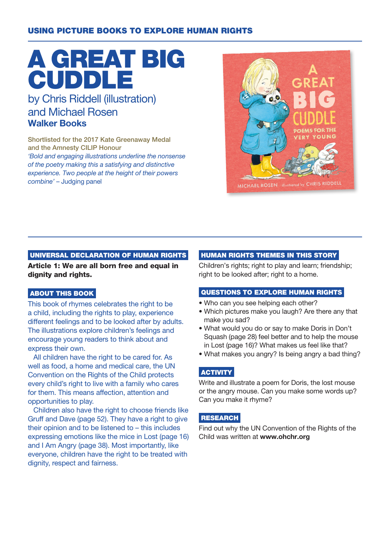### USING PICTURE BOOKS TO EXPLORE HUMAN RIGHTS

# A GREAT BIG **CUDDLE**

## by Chris Riddell (illustration) and Michael Rosen Walker Books

Shortlisted for the 2017 Kate Greenaway Medal and the Amnesty CILIP Honour 'Bold and engaging illustrations underline the nonsense of the poetry making this a satisfying and distinctive experience. Two people at the height of their powers combine' – Judging panel



#### UNIVERSAL DECLARATION OF HUMAN RIGHTS

Article 1: We are all born free and equal in dignity and rights.

#### ABOUT THIS BOOK

This book of rhymes celebrates the right to be a child, including the rights to play, experience different feelings and to be looked after by adults. The illustrations explore children's feelings and encourage young readers to think about and express their own.

All children have the right to be cared for. As well as food, a home and medical care, the UN Convention on the Rights of the Child protects every child's right to live with a family who cares for them. This means affection, attention and opportunities to play.

Children also have the right to choose friends like Gruff and Dave (page 52). They have a right to give their opinion and to be listened to – this includes expressing emotions like the mice in Lost (page 16) and I Am Angry (page 38). Most importantly, like everyone, children have the right to be treated with dignity, respect and fairness.

#### HUMAN RIGHTS THEMES IN THIS STORY

Children's rights; right to play and learn; friendship; right to be looked after; right to a home.

#### QUESTIONS TO EXPLORE HUMAN RIGHTS

- Who can you see helping each other?
- Which pictures make you laugh? Are there any that make you sad?
- What would you do or say to make Doris in Don't Squash (page 28) feel better and to help the mouse in Lost (page 16)? What makes us feel like that?
- What makes you angry? Is being angry a bad thing?

#### **ACTIVITY**

Write and illustrate a poem for Doris, the lost mouse or the angry mouse. Can you make some words up? Can you make it rhyme?

#### RESEARCH

Find out why the UN Convention of the Rights of the Child was written at www.ohchr.org